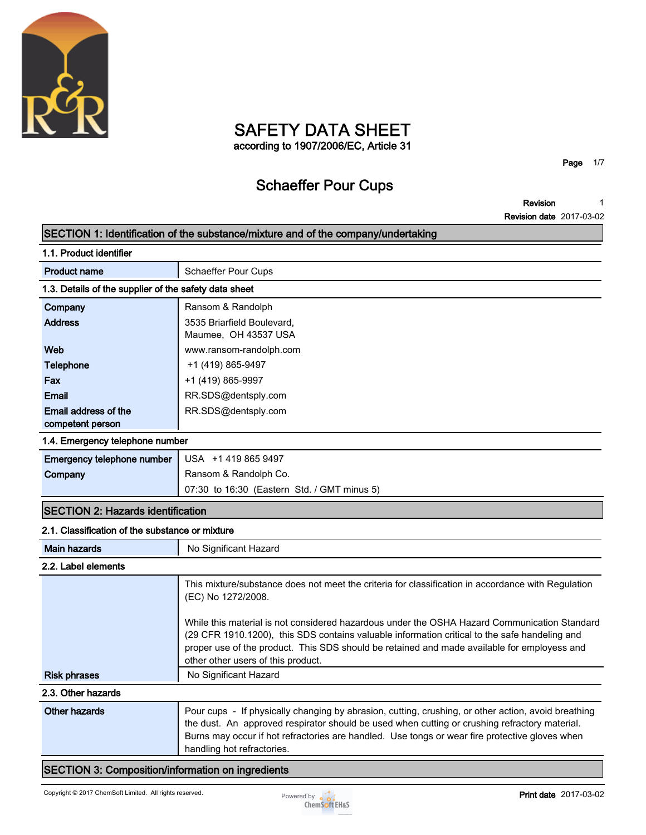

# **SAFETY DATA SHEET**

**according to 1907/2006/EC, Article 31**

**Page 1/7**

### **Schaeffer Pour Cups**

**Revision 1**

**Revision date 2017-03-02**

|                                                       | SECTION 1: Identification of the substance/mixture and of the company/undertaking                                                                                                                                                                                                                                                  |
|-------------------------------------------------------|------------------------------------------------------------------------------------------------------------------------------------------------------------------------------------------------------------------------------------------------------------------------------------------------------------------------------------|
| 1.1. Product identifier                               |                                                                                                                                                                                                                                                                                                                                    |
| <b>Product name</b>                                   | <b>Schaeffer Pour Cups</b>                                                                                                                                                                                                                                                                                                         |
| 1.3. Details of the supplier of the safety data sheet |                                                                                                                                                                                                                                                                                                                                    |
| Company                                               | Ransom & Randolph                                                                                                                                                                                                                                                                                                                  |
| <b>Address</b>                                        | 3535 Briarfield Boulevard,                                                                                                                                                                                                                                                                                                         |
|                                                       | Maumee, OH 43537 USA                                                                                                                                                                                                                                                                                                               |
| Web                                                   | www.ransom-randolph.com                                                                                                                                                                                                                                                                                                            |
| <b>Telephone</b>                                      | +1 (419) 865-9497                                                                                                                                                                                                                                                                                                                  |
| Fax                                                   | +1 (419) 865-9997                                                                                                                                                                                                                                                                                                                  |
| <b>Email</b>                                          | RR.SDS@dentsply.com                                                                                                                                                                                                                                                                                                                |
| Email address of the                                  | RR.SDS@dentsply.com                                                                                                                                                                                                                                                                                                                |
| competent person                                      |                                                                                                                                                                                                                                                                                                                                    |
| 1.4. Emergency telephone number                       |                                                                                                                                                                                                                                                                                                                                    |
| Emergency telephone number                            | USA +1 419 865 9497                                                                                                                                                                                                                                                                                                                |
| Company                                               | Ransom & Randolph Co.                                                                                                                                                                                                                                                                                                              |
|                                                       | 07:30 to 16:30 (Eastern Std. / GMT minus 5)                                                                                                                                                                                                                                                                                        |
| <b>SECTION 2: Hazards identification</b>              |                                                                                                                                                                                                                                                                                                                                    |
| 2.1. Classification of the substance or mixture       |                                                                                                                                                                                                                                                                                                                                    |
| <b>Main hazards</b>                                   | No Significant Hazard                                                                                                                                                                                                                                                                                                              |
| 2.2. Label elements                                   |                                                                                                                                                                                                                                                                                                                                    |
|                                                       | This mixture/substance does not meet the criteria for classification in accordance with Regulation<br>(EC) No 1272/2008.                                                                                                                                                                                                           |
|                                                       | While this material is not considered hazardous under the OSHA Hazard Communication Standard<br>(29 CFR 1910.1200), this SDS contains valuable information critical to the safe handeling and<br>proper use of the product. This SDS should be retained and made available for employess and<br>other other users of this product. |
| <b>Risk phrases</b>                                   | No Significant Hazard                                                                                                                                                                                                                                                                                                              |
| 2.3. Other hazards                                    |                                                                                                                                                                                                                                                                                                                                    |
| <b>Other hazards</b>                                  | Pour cups - If physically changing by abrasion, cutting, crushing, or other action, avoid breathing<br>the dust. An approved respirator should be used when cutting or crushing refractory material.<br>Burns may occur if hot refractories are handled. Use tongs or wear fire protective gloves when                             |

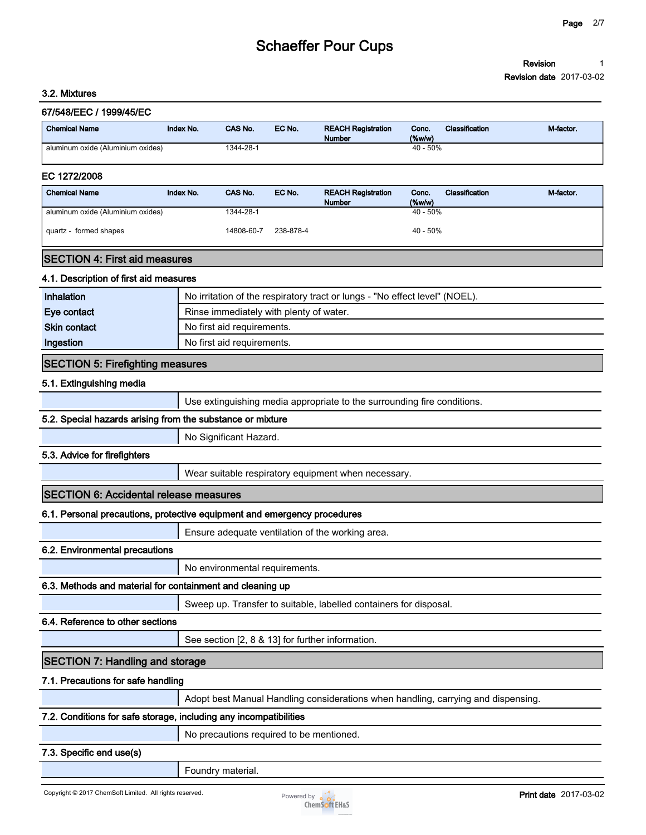#### **Revision 1**

**Revision date 2017-03-02**

| 67/548/EEC / 1999/45/EC                                                  |           |                                          |           |                                                                                   |                 |                       |           |
|--------------------------------------------------------------------------|-----------|------------------------------------------|-----------|-----------------------------------------------------------------------------------|-----------------|-----------------------|-----------|
| <b>Chemical Name</b>                                                     | Index No. | CAS No.                                  | EC No.    | <b>REACH Registration</b><br><b>Number</b>                                        | Conc.<br>(%w/w) | Classification        | M-factor. |
| aluminum oxide (Aluminium oxides)                                        |           | 1344-28-1                                |           |                                                                                   | 40 - 50%        |                       |           |
| EC 1272/2008                                                             |           |                                          |           |                                                                                   |                 |                       |           |
| <b>Chemical Name</b>                                                     | Index No. | CAS No.                                  | EC No.    | <b>REACH Registration</b><br><b>Number</b>                                        | Conc.<br>(%     | <b>Classification</b> | M-factor. |
| aluminum oxide (Aluminium oxides)                                        |           | 1344-28-1                                |           |                                                                                   | $40 - 50%$      |                       |           |
| quartz - formed shapes                                                   |           | 14808-60-7                               | 238-878-4 |                                                                                   | 40 - 50%        |                       |           |
| <b>SECTION 4: First aid measures</b>                                     |           |                                          |           |                                                                                   |                 |                       |           |
| 4.1. Description of first aid measures                                   |           |                                          |           |                                                                                   |                 |                       |           |
| Inhalation                                                               |           |                                          |           | No irritation of the respiratory tract or lungs - "No effect level" (NOEL).       |                 |                       |           |
| Eye contact                                                              |           | Rinse immediately with plenty of water.  |           |                                                                                   |                 |                       |           |
| <b>Skin contact</b>                                                      |           | No first aid requirements.               |           |                                                                                   |                 |                       |           |
| Ingestion                                                                |           | No first aid requirements.               |           |                                                                                   |                 |                       |           |
| <b>SECTION 5: Firefighting measures</b>                                  |           |                                          |           |                                                                                   |                 |                       |           |
| 5.1. Extinguishing media                                                 |           |                                          |           |                                                                                   |                 |                       |           |
|                                                                          |           |                                          |           | Use extinguishing media appropriate to the surrounding fire conditions.           |                 |                       |           |
| 5.2. Special hazards arising from the substance or mixture               |           |                                          |           |                                                                                   |                 |                       |           |
|                                                                          |           | No Significant Hazard.                   |           |                                                                                   |                 |                       |           |
| 5.3. Advice for firefighters                                             |           |                                          |           |                                                                                   |                 |                       |           |
|                                                                          |           |                                          |           | Wear suitable respiratory equipment when necessary.                               |                 |                       |           |
| <b>SECTION 6: Accidental release measures</b>                            |           |                                          |           |                                                                                   |                 |                       |           |
| 6.1. Personal precautions, protective equipment and emergency procedures |           |                                          |           |                                                                                   |                 |                       |           |
|                                                                          |           |                                          |           | Ensure adequate ventilation of the working area.                                  |                 |                       |           |
| 6.2. Environmental precautions                                           |           |                                          |           |                                                                                   |                 |                       |           |
|                                                                          |           | No environmental requirements.           |           |                                                                                   |                 |                       |           |
| 6.3. Methods and material for containment and cleaning up                |           |                                          |           |                                                                                   |                 |                       |           |
|                                                                          |           |                                          |           | Sweep up. Transfer to suitable, labelled containers for disposal.                 |                 |                       |           |
| 6.4. Reference to other sections                                         |           |                                          |           |                                                                                   |                 |                       |           |
|                                                                          |           |                                          |           | See section [2, 8 & 13] for further information.                                  |                 |                       |           |
| <b>SECTION 7: Handling and storage</b>                                   |           |                                          |           |                                                                                   |                 |                       |           |
| 7.1. Precautions for safe handling                                       |           |                                          |           |                                                                                   |                 |                       |           |
|                                                                          |           |                                          |           | Adopt best Manual Handling considerations when handling, carrying and dispensing. |                 |                       |           |
| 7.2. Conditions for safe storage, including any incompatibilities        |           |                                          |           |                                                                                   |                 |                       |           |
|                                                                          |           | No precautions required to be mentioned. |           |                                                                                   |                 |                       |           |
| 7.3. Specific end use(s)                                                 |           |                                          |           |                                                                                   |                 |                       |           |
|                                                                          |           | Foundry material.                        |           |                                                                                   |                 |                       |           |

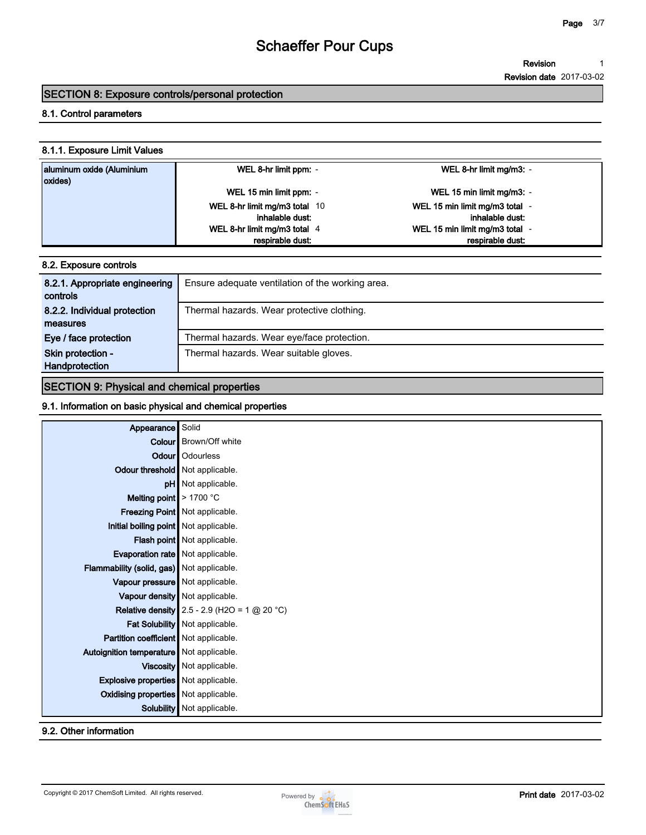#### **Revision 1**

**Revision date 2017-03-02**

### **SECTION 8: Exposure controls/personal protection**

#### **8.1. Control parameters**

#### **8.1.1. Exposure Limit Values**

| aluminum oxide (Aluminium<br>oxides) | WEL 8-hr limit ppm: -         | WEL 8-hr limit mg/m3: -        |
|--------------------------------------|-------------------------------|--------------------------------|
|                                      | WEL 15 min limit ppm: -       | WEL 15 min limit mg/m3: -      |
|                                      | WEL 8-hr limit mg/m3 total 10 | WEL 15 min limit mg/m3 total - |
|                                      | inhalable dust:               | inhalable dust:                |
|                                      | WEL 8-hr limit mg/m3 total 4  | WEL 15 min limit mg/m3 total - |
|                                      | respirable dust:              | respirable dust:               |

#### **8.2. Exposure controls**

| 8.2.1. Appropriate engineering<br>controls | Ensure adequate ventilation of the working area. |
|--------------------------------------------|--------------------------------------------------|
| 8.2.2. Individual protection<br>measures   | Thermal hazards. Wear protective clothing.       |
| Eye / face protection                      | Thermal hazards. Wear eye/face protection.       |
| Skin protection -                          | Thermal hazards. Wear suitable gloves.           |
| Handprotection                             |                                                  |

### **SECTION 9: Physical and chemical properties**

#### **9.1. Information on basic physical and chemical properties**

|                                             | Solid                                                 |
|---------------------------------------------|-------------------------------------------------------|
| Appearance                                  |                                                       |
|                                             | <b>Colour</b> Brown/Off white                         |
| Odour                                       | Odourless                                             |
| Odour threshold Not applicable.             |                                                       |
|                                             | pH Not applicable.                                    |
| Melting point $\geq 1700$ °C                |                                                       |
|                                             | Freezing Point   Not applicable.                      |
| Initial boiling point Not applicable.       |                                                       |
|                                             | Flash point Not applicable.                           |
| Evaporation rate   Not applicable.          |                                                       |
| Flammability (solid, gas) Not applicable.   |                                                       |
| Vapour pressure   Not applicable.           |                                                       |
|                                             | Vapour density   Not applicable.                      |
|                                             | <b>Relative density</b> 2.5 - 2.9 (H2O = 1 $@$ 20 °C) |
|                                             | Fat Solubility Not applicable.                        |
| Partition coefficient Not applicable.       |                                                       |
| Autoignition temperature   Not applicable.  |                                                       |
|                                             | Viscosity   Not applicable.                           |
| <b>Explosive properties</b> Not applicable. |                                                       |
| <b>Oxidising properties</b> Not applicable. |                                                       |
| Solubility                                  | Not applicable.                                       |

### **9.2. Other information**

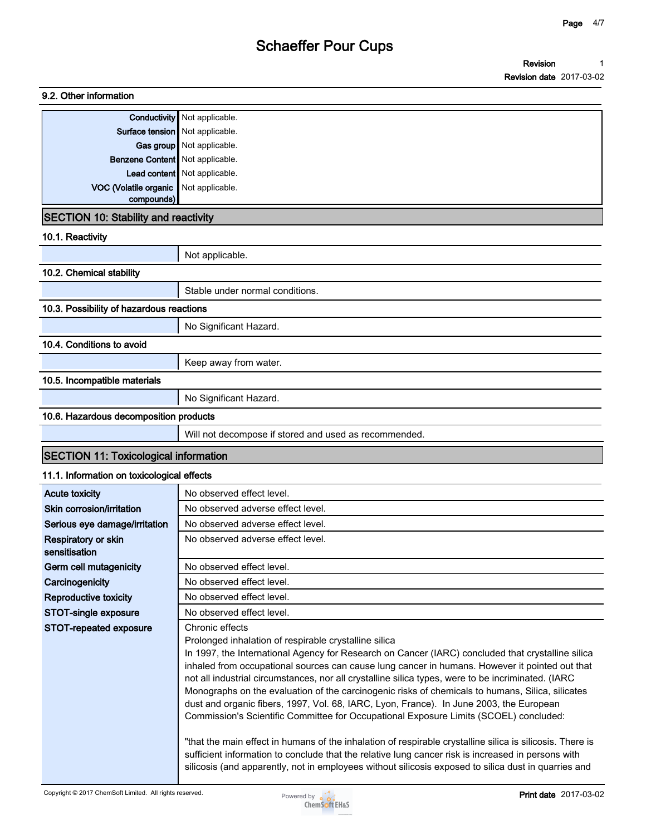**Revision Revision date 2017-03-02 1**

| 9.2. Other information                                    |                                                                                                                                                                                                                                                                                                                                                                                                                                                                                                                                                                                                                                                                                                                                                                                                                                                                                                  |
|-----------------------------------------------------------|--------------------------------------------------------------------------------------------------------------------------------------------------------------------------------------------------------------------------------------------------------------------------------------------------------------------------------------------------------------------------------------------------------------------------------------------------------------------------------------------------------------------------------------------------------------------------------------------------------------------------------------------------------------------------------------------------------------------------------------------------------------------------------------------------------------------------------------------------------------------------------------------------|
|                                                           | <b>Conductivity</b> Not applicable.                                                                                                                                                                                                                                                                                                                                                                                                                                                                                                                                                                                                                                                                                                                                                                                                                                                              |
|                                                           | Surface tension   Not applicable.                                                                                                                                                                                                                                                                                                                                                                                                                                                                                                                                                                                                                                                                                                                                                                                                                                                                |
|                                                           | Gas group Not applicable.                                                                                                                                                                                                                                                                                                                                                                                                                                                                                                                                                                                                                                                                                                                                                                                                                                                                        |
| Benzene Content Not applicable.                           |                                                                                                                                                                                                                                                                                                                                                                                                                                                                                                                                                                                                                                                                                                                                                                                                                                                                                                  |
|                                                           | Lead content Not applicable.                                                                                                                                                                                                                                                                                                                                                                                                                                                                                                                                                                                                                                                                                                                                                                                                                                                                     |
| VOC (Volatile organic                                     | Not applicable.                                                                                                                                                                                                                                                                                                                                                                                                                                                                                                                                                                                                                                                                                                                                                                                                                                                                                  |
| compounds)<br><b>SECTION 10: Stability and reactivity</b> |                                                                                                                                                                                                                                                                                                                                                                                                                                                                                                                                                                                                                                                                                                                                                                                                                                                                                                  |
| 10.1. Reactivity                                          |                                                                                                                                                                                                                                                                                                                                                                                                                                                                                                                                                                                                                                                                                                                                                                                                                                                                                                  |
|                                                           | Not applicable.                                                                                                                                                                                                                                                                                                                                                                                                                                                                                                                                                                                                                                                                                                                                                                                                                                                                                  |
| 10.2. Chemical stability                                  |                                                                                                                                                                                                                                                                                                                                                                                                                                                                                                                                                                                                                                                                                                                                                                                                                                                                                                  |
|                                                           | Stable under normal conditions.                                                                                                                                                                                                                                                                                                                                                                                                                                                                                                                                                                                                                                                                                                                                                                                                                                                                  |
| 10.3. Possibility of hazardous reactions                  |                                                                                                                                                                                                                                                                                                                                                                                                                                                                                                                                                                                                                                                                                                                                                                                                                                                                                                  |
|                                                           | No Significant Hazard.                                                                                                                                                                                                                                                                                                                                                                                                                                                                                                                                                                                                                                                                                                                                                                                                                                                                           |
| 10.4. Conditions to avoid                                 |                                                                                                                                                                                                                                                                                                                                                                                                                                                                                                                                                                                                                                                                                                                                                                                                                                                                                                  |
|                                                           | Keep away from water.                                                                                                                                                                                                                                                                                                                                                                                                                                                                                                                                                                                                                                                                                                                                                                                                                                                                            |
| 10.5. Incompatible materials                              |                                                                                                                                                                                                                                                                                                                                                                                                                                                                                                                                                                                                                                                                                                                                                                                                                                                                                                  |
|                                                           | No Significant Hazard.                                                                                                                                                                                                                                                                                                                                                                                                                                                                                                                                                                                                                                                                                                                                                                                                                                                                           |
| 10.6. Hazardous decomposition products                    |                                                                                                                                                                                                                                                                                                                                                                                                                                                                                                                                                                                                                                                                                                                                                                                                                                                                                                  |
|                                                           | Will not decompose if stored and used as recommended.                                                                                                                                                                                                                                                                                                                                                                                                                                                                                                                                                                                                                                                                                                                                                                                                                                            |
| <b>SECTION 11: Toxicological information</b>              |                                                                                                                                                                                                                                                                                                                                                                                                                                                                                                                                                                                                                                                                                                                                                                                                                                                                                                  |
| 11.1. Information on toxicological effects                |                                                                                                                                                                                                                                                                                                                                                                                                                                                                                                                                                                                                                                                                                                                                                                                                                                                                                                  |
| <b>Acute toxicity</b>                                     | No observed effect level.                                                                                                                                                                                                                                                                                                                                                                                                                                                                                                                                                                                                                                                                                                                                                                                                                                                                        |
| Skin corrosion/irritation                                 | No observed adverse effect level.                                                                                                                                                                                                                                                                                                                                                                                                                                                                                                                                                                                                                                                                                                                                                                                                                                                                |
| Serious eye damage/irritation                             | No observed adverse effect level.                                                                                                                                                                                                                                                                                                                                                                                                                                                                                                                                                                                                                                                                                                                                                                                                                                                                |
| Respiratory or skin                                       | No observed adverse effect level.                                                                                                                                                                                                                                                                                                                                                                                                                                                                                                                                                                                                                                                                                                                                                                                                                                                                |
| sensitisation                                             |                                                                                                                                                                                                                                                                                                                                                                                                                                                                                                                                                                                                                                                                                                                                                                                                                                                                                                  |
| Germ cell mutagenicity                                    | No observed effect level.                                                                                                                                                                                                                                                                                                                                                                                                                                                                                                                                                                                                                                                                                                                                                                                                                                                                        |
| Carcinogenicity                                           | No observed effect level.                                                                                                                                                                                                                                                                                                                                                                                                                                                                                                                                                                                                                                                                                                                                                                                                                                                                        |
| <b>Reproductive toxicity</b>                              | No observed effect level.                                                                                                                                                                                                                                                                                                                                                                                                                                                                                                                                                                                                                                                                                                                                                                                                                                                                        |
| STOT-single exposure                                      | No observed effect level.                                                                                                                                                                                                                                                                                                                                                                                                                                                                                                                                                                                                                                                                                                                                                                                                                                                                        |
| STOT-repeated exposure                                    | Chronic effects<br>Prolonged inhalation of respirable crystalline silica<br>In 1997, the International Agency for Research on Cancer (IARC) concluded that crystalline silica<br>inhaled from occupational sources can cause lung cancer in humans. However it pointed out that<br>not all industrial circumstances, nor all crystalline silica types, were to be incriminated. (IARC<br>Monographs on the evaluation of the carcinogenic risks of chemicals to humans, Silica, silicates<br>dust and organic fibers, 1997, Vol. 68, IARC, Lyon, France). In June 2003, the European<br>Commission's Scientific Committee for Occupational Exposure Limits (SCOEL) concluded:<br>"that the main effect in humans of the inhalation of respirable crystalline silica is silicosis. There is<br>sufficient information to conclude that the relative lung cancer risk is increased in persons with |
|                                                           | silicosis (and apparently, not in employees without silicosis exposed to silica dust in quarries and                                                                                                                                                                                                                                                                                                                                                                                                                                                                                                                                                                                                                                                                                                                                                                                             |

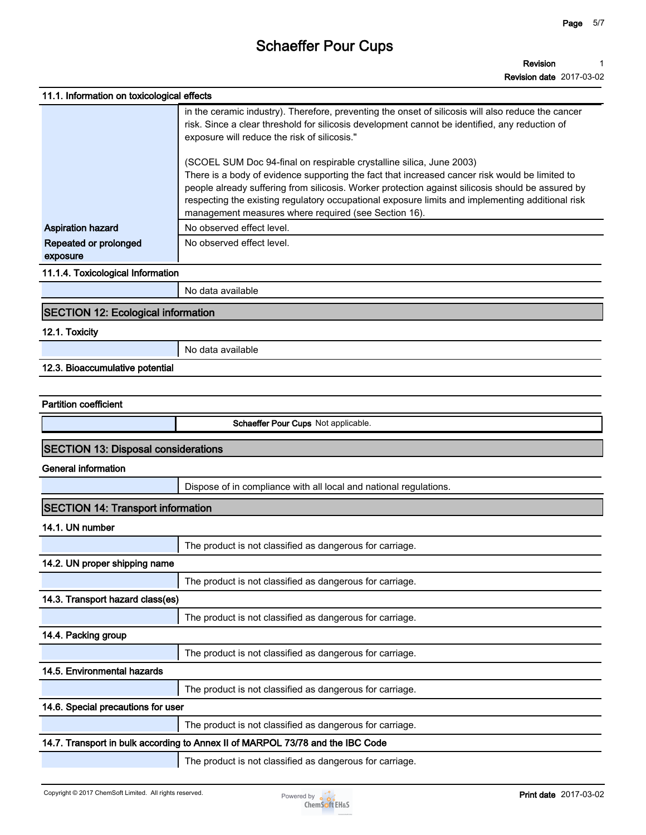| 11.1. Information on toxicological effects |                                                                                                                                                                                                                                                                                                                                                                                                                                         |
|--------------------------------------------|-----------------------------------------------------------------------------------------------------------------------------------------------------------------------------------------------------------------------------------------------------------------------------------------------------------------------------------------------------------------------------------------------------------------------------------------|
|                                            | in the ceramic industry). Therefore, preventing the onset of silicosis will also reduce the cancer<br>risk. Since a clear threshold for silicosis development cannot be identified, any reduction of<br>exposure will reduce the risk of silicosis."                                                                                                                                                                                    |
|                                            | (SCOEL SUM Doc 94-final on respirable crystalline silica, June 2003)<br>There is a body of evidence supporting the fact that increased cancer risk would be limited to<br>people already suffering from silicosis. Worker protection against silicosis should be assured by<br>respecting the existing regulatory occupational exposure limits and implementing additional risk<br>management measures where required (see Section 16). |
| <b>Aspiration hazard</b>                   | No observed effect level.                                                                                                                                                                                                                                                                                                                                                                                                               |
| Repeated or prolonged<br>exposure          | No observed effect level.                                                                                                                                                                                                                                                                                                                                                                                                               |
| 11.1.4. Toxicological Information          |                                                                                                                                                                                                                                                                                                                                                                                                                                         |
|                                            | No data available                                                                                                                                                                                                                                                                                                                                                                                                                       |
| <b>SECTION 12: Ecological information</b>  |                                                                                                                                                                                                                                                                                                                                                                                                                                         |
| 12.1. Toxicity                             |                                                                                                                                                                                                                                                                                                                                                                                                                                         |
|                                            | No data available                                                                                                                                                                                                                                                                                                                                                                                                                       |
| 12.3. Bioaccumulative potential            |                                                                                                                                                                                                                                                                                                                                                                                                                                         |
|                                            |                                                                                                                                                                                                                                                                                                                                                                                                                                         |
| <b>Partition coefficient</b>               |                                                                                                                                                                                                                                                                                                                                                                                                                                         |
|                                            | Schaeffer Pour Cups Not applicable.                                                                                                                                                                                                                                                                                                                                                                                                     |
| <b>SECTION 13: Disposal considerations</b> |                                                                                                                                                                                                                                                                                                                                                                                                                                         |
| <b>General information</b>                 |                                                                                                                                                                                                                                                                                                                                                                                                                                         |
|                                            | Dispose of in compliance with all local and national regulations.                                                                                                                                                                                                                                                                                                                                                                       |
| <b>SECTION 14: Transport information</b>   |                                                                                                                                                                                                                                                                                                                                                                                                                                         |
| 14.1. UN number                            |                                                                                                                                                                                                                                                                                                                                                                                                                                         |
|                                            | The product is not classified as dangerous for carriage.                                                                                                                                                                                                                                                                                                                                                                                |
| 14.2. UN proper shipping name              |                                                                                                                                                                                                                                                                                                                                                                                                                                         |
|                                            | The product is not classified as dangerous for carriage.                                                                                                                                                                                                                                                                                                                                                                                |
| 14.3. Transport hazard class(es)           |                                                                                                                                                                                                                                                                                                                                                                                                                                         |
|                                            | The product is not classified as dangerous for carriage.                                                                                                                                                                                                                                                                                                                                                                                |
| 14.4. Packing group                        |                                                                                                                                                                                                                                                                                                                                                                                                                                         |
|                                            | The product is not classified as dangerous for carriage.                                                                                                                                                                                                                                                                                                                                                                                |
| 14.5. Environmental hazards                |                                                                                                                                                                                                                                                                                                                                                                                                                                         |
|                                            | The product is not classified as dangerous for carriage.                                                                                                                                                                                                                                                                                                                                                                                |
| 14.6. Special precautions for user         |                                                                                                                                                                                                                                                                                                                                                                                                                                         |
|                                            | The product is not classified as dangerous for carriage.                                                                                                                                                                                                                                                                                                                                                                                |
|                                            | 14.7. Transport in bulk according to Annex II of MARPOL 73/78 and the IBC Code                                                                                                                                                                                                                                                                                                                                                          |
|                                            | The product is not classified as dangerous for carriage.                                                                                                                                                                                                                                                                                                                                                                                |

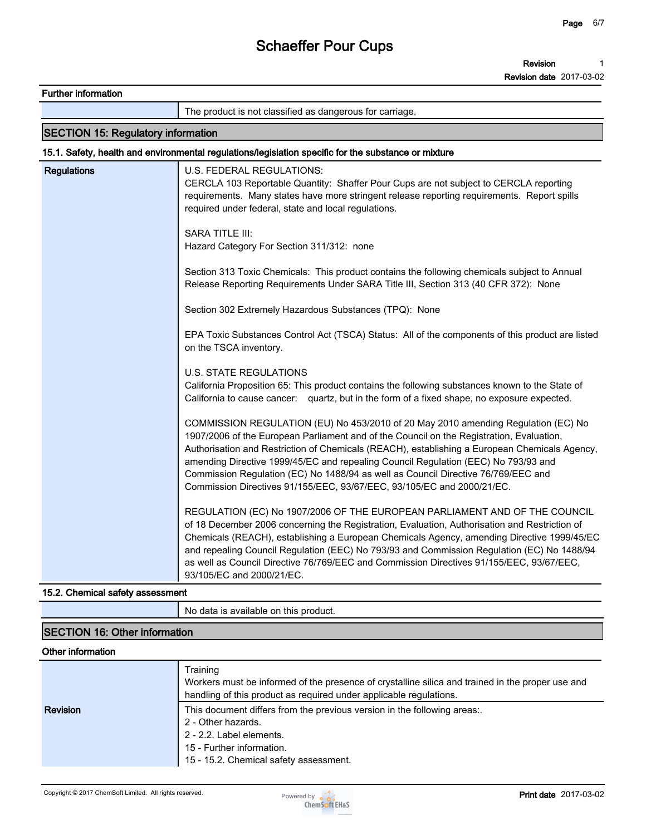**Revision Revision date 2017-03-02 1**

**Further information**

**The product is not classified as dangerous for carriage.**

#### **SECTION 15: Regulatory information**

#### **15.1. Safety, health and environmental regulations/legislation specific for the substance or mixture**

| <b>Regulations</b> | U.S. FEDERAL REGULATIONS:<br>CERCLA 103 Reportable Quantity: Shaffer Pour Cups are not subject to CERCLA reporting<br>requirements. Many states have more stringent release reporting requirements. Report spills<br>required under federal, state and local regulations.                                                                                                                                                                                                                                                           |
|--------------------|-------------------------------------------------------------------------------------------------------------------------------------------------------------------------------------------------------------------------------------------------------------------------------------------------------------------------------------------------------------------------------------------------------------------------------------------------------------------------------------------------------------------------------------|
|                    | <b>SARA TITLE III:</b><br>Hazard Category For Section 311/312: none                                                                                                                                                                                                                                                                                                                                                                                                                                                                 |
|                    | Section 313 Toxic Chemicals: This product contains the following chemicals subject to Annual<br>Release Reporting Requirements Under SARA Title III, Section 313 (40 CFR 372): None                                                                                                                                                                                                                                                                                                                                                 |
|                    | Section 302 Extremely Hazardous Substances (TPQ): None                                                                                                                                                                                                                                                                                                                                                                                                                                                                              |
|                    | EPA Toxic Substances Control Act (TSCA) Status: All of the components of this product are listed<br>on the TSCA inventory.                                                                                                                                                                                                                                                                                                                                                                                                          |
|                    | <b>U.S. STATE REGULATIONS</b><br>California Proposition 65: This product contains the following substances known to the State of<br>California to cause cancer: quartz, but in the form of a fixed shape, no exposure expected.                                                                                                                                                                                                                                                                                                     |
|                    | COMMISSION REGULATION (EU) No 453/2010 of 20 May 2010 amending Regulation (EC) No<br>1907/2006 of the European Parliament and of the Council on the Registration, Evaluation,<br>Authorisation and Restriction of Chemicals (REACH), establishing a European Chemicals Agency,<br>amending Directive 1999/45/EC and repealing Council Regulation (EEC) No 793/93 and<br>Commission Regulation (EC) No 1488/94 as well as Council Directive 76/769/EEC and<br>Commission Directives 91/155/EEC, 93/67/EEC, 93/105/EC and 2000/21/EC. |
|                    | REGULATION (EC) No 1907/2006 OF THE EUROPEAN PARLIAMENT AND OF THE COUNCIL<br>of 18 December 2006 concerning the Registration, Evaluation, Authorisation and Restriction of<br>Chemicals (REACH), establishing a European Chemicals Agency, amending Directive 1999/45/EC<br>and repealing Council Regulation (EEC) No 793/93 and Commission Regulation (EC) No 1488/94<br>as well as Council Directive 76/769/EEC and Commission Directives 91/155/EEC, 93/67/EEC,<br>93/105/EC and 2000/21/EC.                                    |

#### **15.2. Chemical safety assessment**

**No data is available on this product.**

#### **SECTION 16: Other information**

#### **Other information**

|                 | Training<br>Workers must be informed of the presence of crystalline silica and trained in the proper use and<br>handling of this product as required under applicable regulations. |
|-----------------|------------------------------------------------------------------------------------------------------------------------------------------------------------------------------------|
| <b>Revision</b> | This document differs from the previous version in the following areas:.                                                                                                           |
|                 | 2 - Other hazards.                                                                                                                                                                 |
|                 | 2 - 2.2. Label elements.                                                                                                                                                           |
|                 | 15 - Further information.                                                                                                                                                          |
|                 | 15 - 15.2. Chemical safety assessment.                                                                                                                                             |